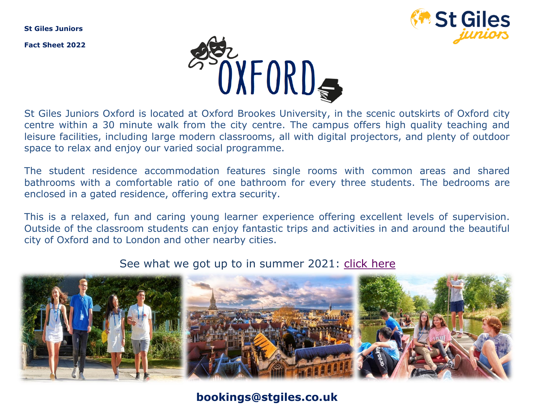**St Giles Juniors**

**Fact Sheet 2022**





St Giles Juniors Oxford is located at Oxford Brookes University, in the scenic outskirts of Oxford city centre within a 30 minute walk from the city centre. The campus offers high quality teaching and leisure facilities, including large modern classrooms, all with digital projectors, and plenty of outdoor space to relax and enjoy our varied social programme.

The student residence accommodation features single rooms with common areas and shared bathrooms with a comfortable ratio of one bathroom for every three students. The bedrooms are enclosed in a gated residence, offering extra security.

This is a relaxed, fun and caring young learner experience offering excellent levels of supervision. Outside of the classroom students can enjoy fantastic trips and activities in and around the beautiful city of Oxford and to London and other nearby cities.

#### See what we got up to in summer 2021: [click here](https://www.instagram.com/tv/CSjE74wl9NR/)



**bookings@stgiles.co.uk**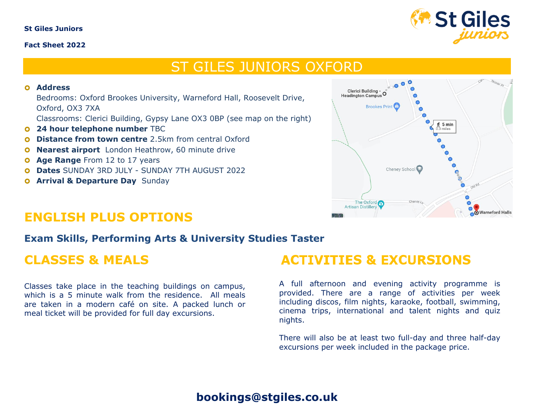#### **St Giles Juniors**

#### **Fact Sheet 2022**



## ST GILES JUNIORS OXFORD

#### **Address**

Bedrooms: Oxford Brookes University, Warneford Hall, Roosevelt Drive, Oxford, OX3 7XA

Classrooms: Clerici Building, Gypsy Lane OX3 0BP (see map on the right)

- **24 hour telephone number TBC**
- **Q** Distance from town centre 2.5km from central Oxford
- **Nearest airport** London Heathrow, 60 minute drive
- **O** Age Range From 12 to 17 years
- **Dates** SUNDAY 3RD JULY SUNDAY 7TH AUGUST 2022
- **O Arrival & Departure Day** Sunday



#### **ENGLISH PLUS OPTIONS**

#### **Exam Skills, Performing Arts & University Studies Taster**

#### **CLASSES & MEALS**

Classes take place in the teaching buildings on campus, which is a 5 minute walk from the residence. All meals are taken in a modern café on site. A packed lunch or meal ticket will be provided for full day excursions.

### **ACTIVITIES & EXCURSIONS**

A full afternoon and evening activity programme is provided. There are a range of activities per week including discos, film nights, karaoke, football, swimming, cinema trips, international and talent nights and quiz nights.

There will also be at least two full-day and three half-day excursions per week included in the package price.

#### **bookings@stgiles.co.uk**